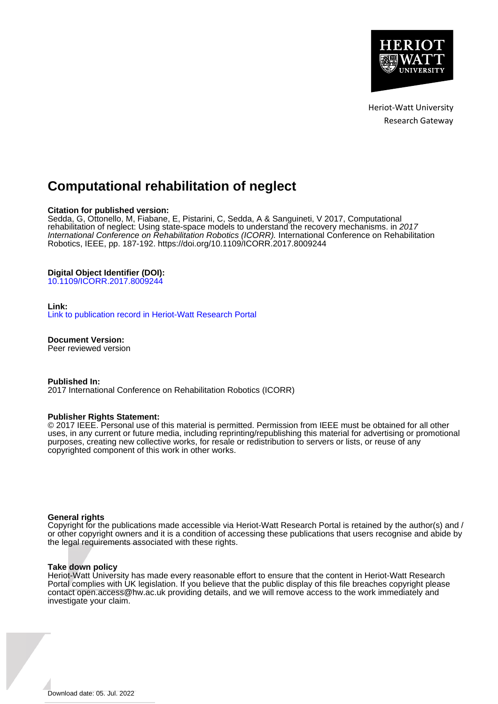

Heriot-Watt University Research Gateway

# **Computational rehabilitation of neglect**

# **Citation for published version:**

Sedda, G, Ottonello, M, Fiabane, E, Pistarini, C, Sedda, A & Sanguineti, V 2017, Computational rehabilitation of neglect: Using state-space models to understand the recovery mechanisms. in 2017 International Conference on Rehabilitation Robotics (ICORR). International Conference on Rehabilitation Robotics, IEEE, pp. 187-192. <https://doi.org/10.1109/ICORR.2017.8009244>

# **Digital Object Identifier (DOI):**

[10.1109/ICORR.2017.8009244](https://doi.org/10.1109/ICORR.2017.8009244)

## **Link:**

[Link to publication record in Heriot-Watt Research Portal](https://researchportal.hw.ac.uk/en/publications/64a38922-8b1f-46a7-a0e1-dfe8f259eda7)

**Document Version:** Peer reviewed version

**Published In:**

2017 International Conference on Rehabilitation Robotics (ICORR)

## **Publisher Rights Statement:**

© 2017 IEEE. Personal use of this material is permitted. Permission from IEEE must be obtained for all other uses, in any current or future media, including reprinting/republishing this material for advertising or promotional purposes, creating new collective works, for resale or redistribution to servers or lists, or reuse of any copyrighted component of this work in other works.

## **General rights**

Copyright for the publications made accessible via Heriot-Watt Research Portal is retained by the author(s) and / or other copyright owners and it is a condition of accessing these publications that users recognise and abide by the legal requirements associated with these rights.

#### **Take down policy**

Heriot-Watt University has made every reasonable effort to ensure that the content in Heriot-Watt Research Portal complies with UK legislation. If you believe that the public display of this file breaches copyright please contact open.access@hw.ac.uk providing details, and we will remove access to the work immediately and investigate your claim.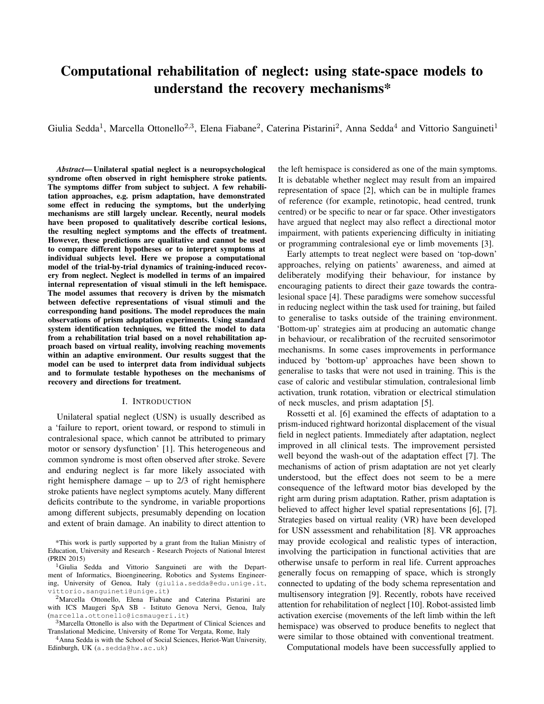# Computational rehabilitation of neglect: using state-space models to understand the recovery mechanisms\*

Giulia Sedda<sup>1</sup>, Marcella Ottonello<sup>2,3</sup>, Elena Fiabane<sup>2</sup>, Caterina Pistarini<sup>2</sup>, Anna Sedda<sup>4</sup> and Vittorio Sanguineti<sup>1</sup>

*Abstract*— Unilateral spatial neglect is a neuropsychological syndrome often observed in right hemisphere stroke patients. The symptoms differ from subject to subject. A few rehabilitation approaches, e.g. prism adaptation, have demonstrated some effect in reducing the symptoms, but the underlying mechanisms are still largely unclear. Recently, neural models have been proposed to qualitatively describe cortical lesions, the resulting neglect symptoms and the effects of treatment. However, these predictions are qualitative and cannot be used to compare different hypotheses or to interpret symptoms at individual subjects level. Here we propose a computational model of the trial-by-trial dynamics of training-induced recovery from neglect. Neglect is modelled in terms of an impaired internal representation of visual stimuli in the left hemispace. The model assumes that recovery is driven by the mismatch between defective representations of visual stimuli and the corresponding hand positions. The model reproduces the main observations of prism adaptation experiments. Using standard system identification techniques, we fitted the model to data from a rehabilitation trial based on a novel rehabilitation approach based on virtual reality, involving reaching movements within an adaptive environment. Our results suggest that the model can be used to interpret data from individual subjects and to formulate testable hypotheses on the mechanisms of recovery and directions for treatment.

#### I. INTRODUCTION

Unilateral spatial neglect (USN) is usually described as a 'failure to report, orient toward, or respond to stimuli in contralesional space, which cannot be attributed to primary motor or sensory dysfunction' [1]. This heterogeneous and common syndrome is most often observed after stroke. Severe and enduring neglect is far more likely associated with right hemisphere damage – up to 2/3 of right hemisphere stroke patients have neglect symptoms acutely. Many different deficits contribute to the syndrome, in variable proportions among different subjects, presumably depending on location and extent of brain damage. An inability to direct attention to

\*This work is partly supported by a grant from the Italian Ministry of Education, University and Research - Research Projects of National Interest (PRIN 2015)

<sup>1</sup>Giulia Sedda and Vittorio Sanguineti are with the Department of Informatics, Bioengineering, Robotics and Systems Engineering, University of Genoa, Italy (giulia.sedda@edu.unige.it, vittorio.sanguineti@unige.it)

<sup>2</sup>Marcella Ottonello, Elena Fiabane and Caterina Pistarini are with ICS Maugeri SpA SB - Istituto Genova Nervi, Genoa, Italy (marcella.ottonello@icsmaugeri.it)

<sup>3</sup>Marcella Ottonello is also with the Department of Clinical Sciences and Translational Medicine, University of Rome Tor Vergata, Rome, Italy

<sup>4</sup>Anna Sedda is with the School of Social Sciences, Heriot-Watt University, Edinburgh, UK (a.sedda@hw.ac.uk)

the left hemispace is considered as one of the main symptoms. It is debatable whether neglect may result from an impaired representation of space [2], which can be in multiple frames of reference (for example, retinotopic, head centred, trunk centred) or be specific to near or far space. Other investigators have argued that neglect may also reflect a directional motor impairment, with patients experiencing difficulty in initiating or programming contralesional eye or limb movements [3].

Early attempts to treat neglect were based on 'top-down' approaches, relying on patients' awareness, and aimed at deliberately modifying their behaviour, for instance by encouraging patients to direct their gaze towards the contralesional space [4]. These paradigms were somehow successful in reducing neglect within the task used for training, but failed to generalise to tasks outside of the training environment. 'Bottom-up' strategies aim at producing an automatic change in behaviour, or recalibration of the recruited sensorimotor mechanisms. In some cases improvements in performance induced by 'bottom-up' approaches have been shown to generalise to tasks that were not used in training. This is the case of caloric and vestibular stimulation, contralesional limb activation, trunk rotation, vibration or electrical stimulation of neck muscles, and prism adaptation [5].

Rossetti et al. [6] examined the effects of adaptation to a prism-induced rightward horizontal displacement of the visual field in neglect patients. Immediately after adaptation, neglect improved in all clinical tests. The improvement persisted well beyond the wash-out of the adaptation effect [7]. The mechanisms of action of prism adaptation are not yet clearly understood, but the effect does not seem to be a mere consequence of the leftward motor bias developed by the right arm during prism adaptation. Rather, prism adaptation is believed to affect higher level spatial representations [6], [7]. Strategies based on virtual reality (VR) have been developed for USN assessment and rehabilitation [8]. VR approaches may provide ecological and realistic types of interaction, involving the participation in functional activities that are otherwise unsafe to perform in real life. Current approaches generally focus on remapping of space, which is strongly connected to updating of the body schema representation and multisensory integration [9]. Recently, robots have received attention for rehabilitation of neglect [10]. Robot-assisted limb activation exercise (movements of the left limb within the left hemispace) was observed to produce benefits to neglect that were similar to those obtained with conventional treatment.

Computational models have been successfully applied to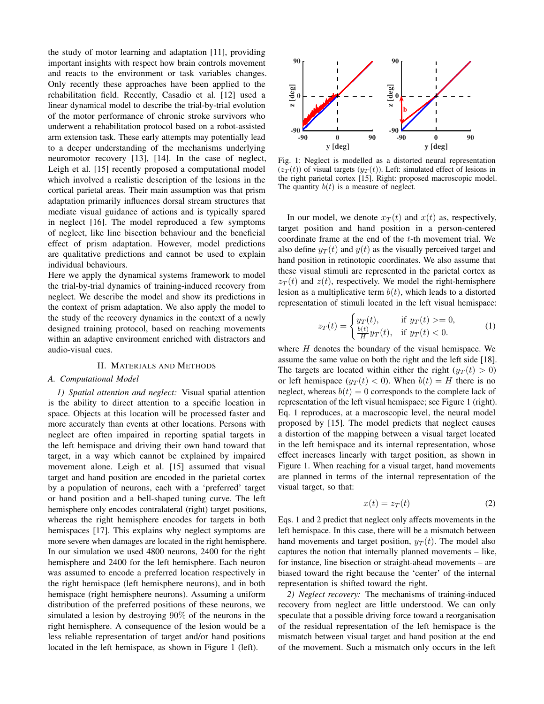the study of motor learning and adaptation [11], providing important insights with respect how brain controls movement and reacts to the environment or task variables changes. Only recently these approaches have been applied to the rehabilitation field. Recently, Casadio et al. [12] used a linear dynamical model to describe the trial-by-trial evolution of the motor performance of chronic stroke survivors who underwent a rehabilitation protocol based on a robot-assisted arm extension task. These early attempts may potentially lead to a deeper understanding of the mechanisms underlying neuromotor recovery [13], [14]. In the case of neglect, Leigh et al. [15] recently proposed a computational model which involved a realistic description of the lesions in the cortical parietal areas. Their main assumption was that prism adaptation primarily influences dorsal stream structures that mediate visual guidance of actions and is typically spared in neglect [16]. The model reproduced a few symptoms of neglect, like line bisection behaviour and the beneficial effect of prism adaptation. However, model predictions are qualitative predictions and cannot be used to explain individual behaviours.

Here we apply the dynamical systems framework to model the trial-by-trial dynamics of training-induced recovery from neglect. We describe the model and show its predictions in the context of prism adaptation. We also apply the model to the study of the recovery dynamics in the context of a newly designed training protocol, based on reaching movements within an adaptive environment enriched with distractors and audio-visual cues.

#### II. MATERIALS AND METHODS

#### *A. Computational Model*

*1) Spatial attention and neglect:* Visual spatial attention is the ability to direct attention to a specific location in space. Objects at this location will be processed faster and more accurately than events at other locations. Persons with neglect are often impaired in reporting spatial targets in the left hemispace and driving their own hand toward that target, in a way which cannot be explained by impaired movement alone. Leigh et al. [15] assumed that visual target and hand position are encoded in the parietal cortex by a population of neurons, each with a 'preferred' target or hand position and a bell-shaped tuning curve. The left hemisphere only encodes contralateral (right) target positions, whereas the right hemisphere encodes for targets in both hemispaces [17]. This explains why neglect symptoms are more severe when damages are located in the right hemisphere. In our simulation we used 4800 neurons, 2400 for the right hemisphere and 2400 for the left hemisphere. Each neuron was assumed to encode a preferred location respectively in the right hemispace (left hemisphere neurons), and in both hemispace (right hemisphere neurons). Assuming a uniform distribution of the preferred positions of these neurons, we simulated a lesion by destroying 90% of the neurons in the right hemisphere. A consequence of the lesion would be a less reliable representation of target and/or hand positions located in the left hemispace, as shown in Figure 1 (left).



Fig. 1: Neglect is modelled as a distorted neural representation  $(z_T(t))$  of visual targets  $(y_T(t))$ . Left: simulated effect of lesions in the right parietal cortex [15]. Right: proposed macroscopic model. The quantity  $b(t)$  is a measure of neglect.

In our model, we denote  $x_T(t)$  and  $x(t)$  as, respectively, target position and hand position in a person-centered coordinate frame at the end of the t-th movement trial. We also define  $y_T(t)$  and  $y(t)$  as the visually perceived target and hand position in retinotopic coordinates. We also assume that these visual stimuli are represented in the parietal cortex as  $z_T(t)$  and  $z(t)$ , respectively. We model the right-hemisphere lesion as a multiplicative term  $b(t)$ , which leads to a distorted representation of stimuli located in the left visual hemispace:

$$
z_T(t) = \begin{cases} y_T(t), & \text{if } y_T(t) >= 0, \\ \frac{b(t)}{H} y_T(t), & \text{if } y_T(t) < 0. \end{cases} \tag{1}
$$

where  $H$  denotes the boundary of the visual hemispace. We assume the same value on both the right and the left side [18]. The targets are located within either the right  $(y_T(t) > 0)$ or left hemispace  $(y_T(t) < 0)$ . When  $b(t) = H$  there is no neglect, whereas  $b(t) = 0$  corresponds to the complete lack of representation of the left visual hemispace; see Figure 1 (right). Eq. 1 reproduces, at a macroscopic level, the neural model proposed by [15]. The model predicts that neglect causes a distortion of the mapping between a visual target located in the left hemispace and its internal representation, whose effect increases linearly with target position, as shown in Figure 1. When reaching for a visual target, hand movements are planned in terms of the internal representation of the visual target, so that:

$$
x(t) = z_T(t) \tag{2}
$$

Eqs. 1 and 2 predict that neglect only affects movements in the left hemispace. In this case, there will be a mismatch between hand movements and target position,  $y_T(t)$ . The model also captures the notion that internally planned movements – like, for instance, line bisection or straight-ahead movements – are biased toward the right because the 'center' of the internal representation is shifted toward the right.

*2) Neglect recovery:* The mechanisms of training-induced recovery from neglect are little understood. We can only speculate that a possible driving force toward a reorganisation of the residual representation of the left hemispace is the mismatch between visual target and hand position at the end of the movement. Such a mismatch only occurs in the left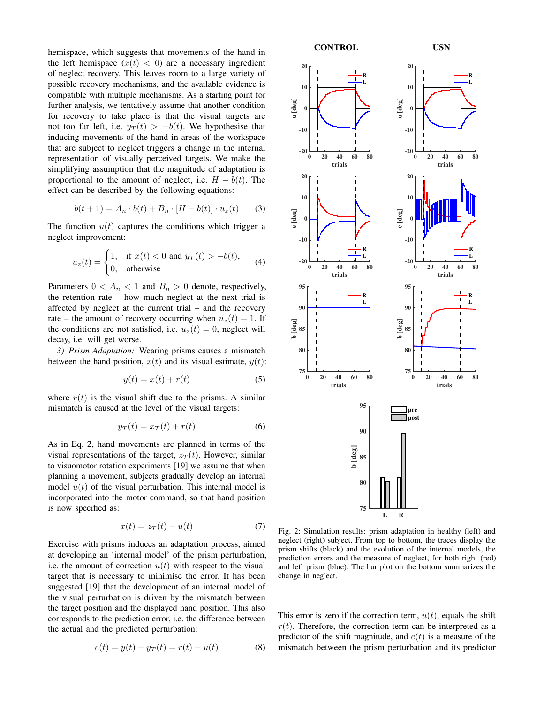hemispace, which suggests that movements of the hand in the left hemispace  $(x(t) < 0)$  are a necessary ingredient of neglect recovery. This leaves room to a large variety of possible recovery mechanisms, and the available evidence is compatible with multiple mechanisms. As a starting point for further analysis, we tentatively assume that another condition for recovery to take place is that the visual targets are not too far left, i.e.  $y_T(t) > -b(t)$ . We hypothesise that inducing movements of the hand in areas of the workspace that are subject to neglect triggers a change in the internal representation of visually perceived targets. We make the simplifying assumption that the magnitude of adaptation is proportional to the amount of neglect, i.e.  $H - b(t)$ . The effect can be described by the following equations:

$$
b(t+1) = A_n \cdot b(t) + B_n \cdot [H - b(t)] \cdot u_z(t) \tag{3}
$$

The function  $u(t)$  captures the conditions which trigger a neglect improvement:

$$
u_z(t) = \begin{cases} 1, & \text{if } x(t) < 0 \text{ and } y_T(t) > -b(t), \\ 0, & \text{otherwise} \end{cases} \tag{4}
$$

Parameters  $0 < A_n < 1$  and  $B_n > 0$  denote, respectively, the retention rate – how much neglect at the next trial is affected by neglect at the current trial – and the recovery rate – the amount of recovery occurring when  $u_z(t) = 1$ . If the conditions are not satisfied, i.e.  $u_z(t) = 0$ , neglect will decay, i.e. will get worse.

*3) Prism Adaptation:* Wearing prisms causes a mismatch between the hand position,  $x(t)$  and its visual estimate,  $y(t)$ :

$$
y(t) = x(t) + r(t) \tag{5}
$$

where  $r(t)$  is the visual shift due to the prisms. A similar mismatch is caused at the level of the visual targets:

$$
y_T(t) = x_T(t) + r(t) \tag{6}
$$

As in Eq. 2, hand movements are planned in terms of the visual representations of the target,  $z_T(t)$ . However, similar to visuomotor rotation experiments [19] we assume that when planning a movement, subjects gradually develop an internal model  $u(t)$  of the visual perturbation. This internal model is incorporated into the motor command, so that hand position is now specified as:

$$
x(t) = z_T(t) - u(t) \tag{7}
$$

Exercise with prisms induces an adaptation process, aimed at developing an 'internal model' of the prism perturbation, i.e. the amount of correction  $u(t)$  with respect to the visual target that is necessary to minimise the error. It has been suggested [19] that the development of an internal model of the visual perturbation is driven by the mismatch between the target position and the displayed hand position. This also corresponds to the prediction error, i.e. the difference between the actual and the predicted perturbation:

$$
e(t) = y(t) - y_T(t) = r(t) - u(t)
$$
 (8)



Fig. 2: Simulation results: prism adaptation in healthy (left) and neglect (right) subject. From top to bottom, the traces display the prism shifts (black) and the evolution of the internal models, the prediction errors and the measure of neglect, for both right (red) and left prism (blue). The bar plot on the bottom summarizes the change in neglect.

This error is zero if the correction term,  $u(t)$ , equals the shift  $r(t)$ . Therefore, the correction term can be interpreted as a predictor of the shift magnitude, and  $e(t)$  is a measure of the mismatch between the prism perturbation and its predictor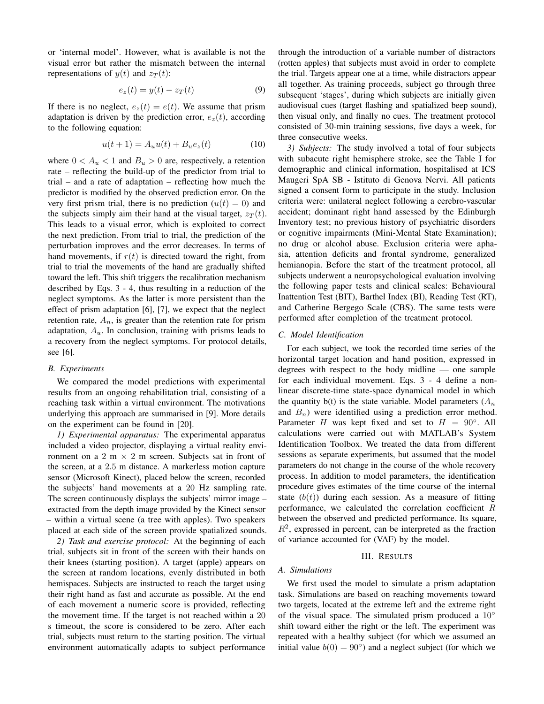or 'internal model'. However, what is available is not the visual error but rather the mismatch between the internal representations of  $y(t)$  and  $z_T(t)$ :

$$
e_z(t) = y(t) - z_T(t) \tag{9}
$$

If there is no neglect,  $e_z(t) = e(t)$ . We assume that prism adaptation is driven by the prediction error,  $e_z(t)$ , according to the following equation:

$$
u(t+1) = A_u u(t) + B_u e_z(t)
$$
 (10)

where  $0 < A_u < 1$  and  $B_u > 0$  are, respectively, a retention rate – reflecting the build-up of the predictor from trial to trial – and a rate of adaptation – reflecting how much the predictor is modified by the observed prediction error. On the very first prism trial, there is no prediction  $(u(t) = 0)$  and the subjects simply aim their hand at the visual target,  $z_T(t)$ . This leads to a visual error, which is exploited to correct the next prediction. From trial to trial, the prediction of the perturbation improves and the error decreases. In terms of hand movements, if  $r(t)$  is directed toward the right, from trial to trial the movements of the hand are gradually shifted toward the left. This shift triggers the recalibration mechanism described by Eqs. 3 - 4, thus resulting in a reduction of the neglect symptoms. As the latter is more persistent than the effect of prism adaptation [6], [7], we expect that the neglect retention rate,  $A_n$ , is greater than the retention rate for prism adaptation,  $A_u$ . In conclusion, training with prisms leads to a recovery from the neglect symptoms. For protocol details, see [6].

#### *B. Experiments*

We compared the model predictions with experimental results from an ongoing rehabilitation trial, consisting of a reaching task within a virtual environment. The motivations underlying this approach are summarised in [9]. More details on the experiment can be found in [20].

*1) Experimental apparatus:* The experimental apparatus included a video projector, displaying a virtual reality environment on a 2 m  $\times$  2 m screen. Subjects sat in front of the screen, at a 2.5 m distance. A markerless motion capture sensor (Microsoft Kinect), placed below the screen, recorded the subjects' hand movements at a 20 Hz sampling rate. The screen continuously displays the subjects' mirror image – extracted from the depth image provided by the Kinect sensor – within a virtual scene (a tree with apples). Two speakers placed at each side of the screen provide spatialized sounds.

*2) Task and exercise protocol:* At the beginning of each trial, subjects sit in front of the screen with their hands on their knees (starting position). A target (apple) appears on the screen at random locations, evenly distributed in both hemispaces. Subjects are instructed to reach the target using their right hand as fast and accurate as possible. At the end of each movement a numeric score is provided, reflecting the movement time. If the target is not reached within a 20 s timeout, the score is considered to be zero. After each trial, subjects must return to the starting position. The virtual environment automatically adapts to subject performance

through the introduction of a variable number of distractors (rotten apples) that subjects must avoid in order to complete the trial. Targets appear one at a time, while distractors appear all together. As training proceeds, subject go through three subsequent 'stages', during which subjects are initially given audiovisual cues (target flashing and spatialized beep sound), then visual only, and finally no cues. The treatment protocol consisted of 30-min training sessions, five days a week, for three consecutive weeks.

*3) Subjects:* The study involved a total of four subjects with subacute right hemisphere stroke, see the Table I for demographic and clinical information, hospitalised at ICS Maugeri SpA SB - Istituto di Genova Nervi. All patients signed a consent form to participate in the study. Inclusion criteria were: unilateral neglect following a cerebro-vascular accident; dominant right hand assessed by the Edinburgh Inventory test; no previous history of psychiatric disorders or cognitive impairments (Mini-Mental State Examination); no drug or alcohol abuse. Exclusion criteria were aphasia, attention deficits and frontal syndrome, generalized hemianopia. Before the start of the treatment protocol, all subjects underwent a neuropsychological evaluation involving the following paper tests and clinical scales: Behavioural Inattention Test (BIT), Barthel Index (BI), Reading Test (RT), and Catherine Bergego Scale (CBS). The same tests were performed after completion of the treatment protocol.

#### *C. Model Identification*

For each subject, we took the recorded time series of the horizontal target location and hand position, expressed in degrees with respect to the body midline — one sample for each individual movement. Eqs. 3 - 4 define a nonlinear discrete-time state-space dynamical model in which the quantity  $b(t)$  is the state variable. Model parameters  $(A_n)$ and  $B_n$ ) were identified using a prediction error method. Parameter H was kept fixed and set to  $H = 90^\circ$ . All calculations were carried out with MATLAB's System Identification Toolbox. We treated the data from different sessions as separate experiments, but assumed that the model parameters do not change in the course of the whole recovery process. In addition to model parameters, the identification procedure gives estimates of the time course of the internal state  $(b(t))$  during each session. As a measure of fitting performance, we calculated the correlation coefficient R between the observed and predicted performance. Its square,  $R<sup>2</sup>$ , expressed in percent, can be interpreted as the fraction of variance accounted for (VAF) by the model.

## III. RESULTS

### *A. Simulations*

We first used the model to simulate a prism adaptation task. Simulations are based on reaching movements toward two targets, located at the extreme left and the extreme right of the visual space. The simulated prism produced a 10◦ shift toward either the right or the left. The experiment was repeated with a healthy subject (for which we assumed an initial value  $b(0) = 90°$ ) and a neglect subject (for which we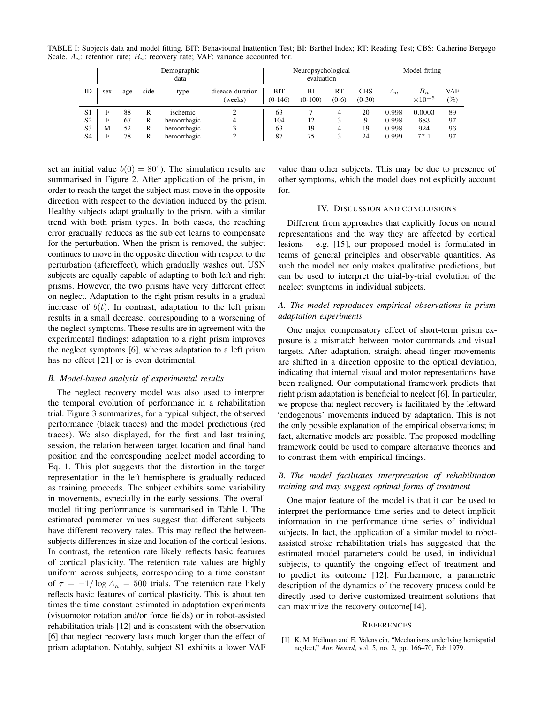TABLE I: Subjects data and model fitting. BIT: Behavioural Inattention Test; BI: Barthel Index; RT: Reading Test; CBS: Catherine Bergego Scale.  $A_n$ : retention rate;  $B_n$ : recovery rate; VAF: variance accounted for.

|                |     | Demographic<br>data |      |             |                             | Neuropsychological<br>evaluation |                 |               |                        | Model fitting |                           |                   |
|----------------|-----|---------------------|------|-------------|-----------------------------|----------------------------------|-----------------|---------------|------------------------|---------------|---------------------------|-------------------|
| ID             | sex | age                 | side | type        | disease duration<br>(weeks) | BIT<br>$(0-146)$                 | BI<br>$(0-100)$ | RT<br>$(0-6)$ | <b>CBS</b><br>$(0-30)$ | $A_n$         | $B_n$<br>$\times 10^{-5}$ | <b>VAF</b><br>(%) |
| S <sub>1</sub> | F   | 88                  | R    | ischemic    | ◠                           | 63                               |                 |               | 20                     | 0.998         | 0.0003                    | 89                |
| S <sub>2</sub> | F   | 67                  | R    | hemorrhagic | 4                           | 104                              | 12              |               | 9                      | 0.998         | 683                       | 97                |
| S <sub>3</sub> | M   | 52                  | R    | hemorrhagic |                             | 63                               | 19              | 4             | 19                     | 0.998         | 924                       | 96                |
| S <sub>4</sub> | Е   | 78                  | R    | hemorrhagic | ◠                           | 87                               | 75              |               | 24                     | 0.999         | 77.1                      | 97                |

set an initial value  $b(0) = 80^{\circ}$ ). The simulation results are summarised in Figure 2. After application of the prism, in order to reach the target the subject must move in the opposite direction with respect to the deviation induced by the prism. Healthy subjects adapt gradually to the prism, with a similar trend with both prism types. In both cases, the reaching error gradually reduces as the subject learns to compensate for the perturbation. When the prism is removed, the subject continues to move in the opposite direction with respect to the perturbation (aftereffect), which gradually washes out. USN subjects are equally capable of adapting to both left and right prisms. However, the two prisms have very different effect on neglect. Adaptation to the right prism results in a gradual increase of  $b(t)$ . In contrast, adaptation to the left prism results in a small decrease, corresponding to a worsening of the neglect symptoms. These results are in agreement with the experimental findings: adaptation to a right prism improves the neglect symptoms [6], whereas adaptation to a left prism has no effect [21] or is even detrimental.

# *B. Model-based analysis of experimental results*

The neglect recovery model was also used to interpret the temporal evolution of performance in a rehabilitation trial. Figure 3 summarizes, for a typical subject, the observed performance (black traces) and the model predictions (red traces). We also displayed, for the first and last training session, the relation between target location and final hand position and the corresponding neglect model according to Eq. 1. This plot suggests that the distortion in the target representation in the left hemisphere is gradually reduced as training proceeds. The subject exhibits some variability in movements, especially in the early sessions. The overall model fitting performance is summarised in Table I. The estimated parameter values suggest that different subjects have different recovery rates. This may reflect the betweensubjects differences in size and location of the cortical lesions. In contrast, the retention rate likely reflects basic features of cortical plasticity. The retention rate values are highly uniform across subjects, corresponding to a time constant of  $\tau = -1/\log A_n = 500$  trials. The retention rate likely reflects basic features of cortical plasticity. This is about ten times the time constant estimated in adaptation experiments (visuomotor rotation and/or force fields) or in robot-assisted rehabilitation trials [12] and is consistent with the observation [6] that neglect recovery lasts much longer than the effect of prism adaptation. Notably, subject S1 exhibits a lower VAF

value than other subjects. This may be due to presence of other symptoms, which the model does not explicitly account for.

#### IV. DISCUSSION AND CONCLUSIONS

Different from approaches that explicitly focus on neural representations and the way they are affected by cortical lesions – e.g. [15], our proposed model is formulated in terms of general principles and observable quantities. As such the model not only makes qualitative predictions, but can be used to interpret the trial-by-trial evolution of the neglect symptoms in individual subjects.

# *A. The model reproduces empirical observations in prism adaptation experiments*

One major compensatory effect of short-term prism exposure is a mismatch between motor commands and visual targets. After adaptation, straight-ahead finger movements are shifted in a direction opposite to the optical deviation, indicating that internal visual and motor representations have been realigned. Our computational framework predicts that right prism adaptation is beneficial to neglect [6]. In particular, we propose that neglect recovery is facilitated by the leftward 'endogenous' movements induced by adaptation. This is not the only possible explanation of the empirical observations; in fact, alternative models are possible. The proposed modelling framework could be used to compare alternative theories and to contrast them with empirical findings.

# *B. The model facilitates interpretation of rehabilitation training and may suggest optimal forms of treatment*

One major feature of the model is that it can be used to interpret the performance time series and to detect implicit information in the performance time series of individual subjects. In fact, the application of a similar model to robotassisted stroke rehabilitation trials has suggested that the estimated model parameters could be used, in individual subjects, to quantify the ongoing effect of treatment and to predict its outcome [12]. Furthermore, a parametric description of the dynamics of the recovery process could be directly used to derive customized treatment solutions that can maximize the recovery outcome[14].

#### **REFERENCES**

[1] K. M. Heilman and E. Valenstein, "Mechanisms underlying hemispatial neglect," *Ann Neurol*, vol. 5, no. 2, pp. 166–70, Feb 1979.